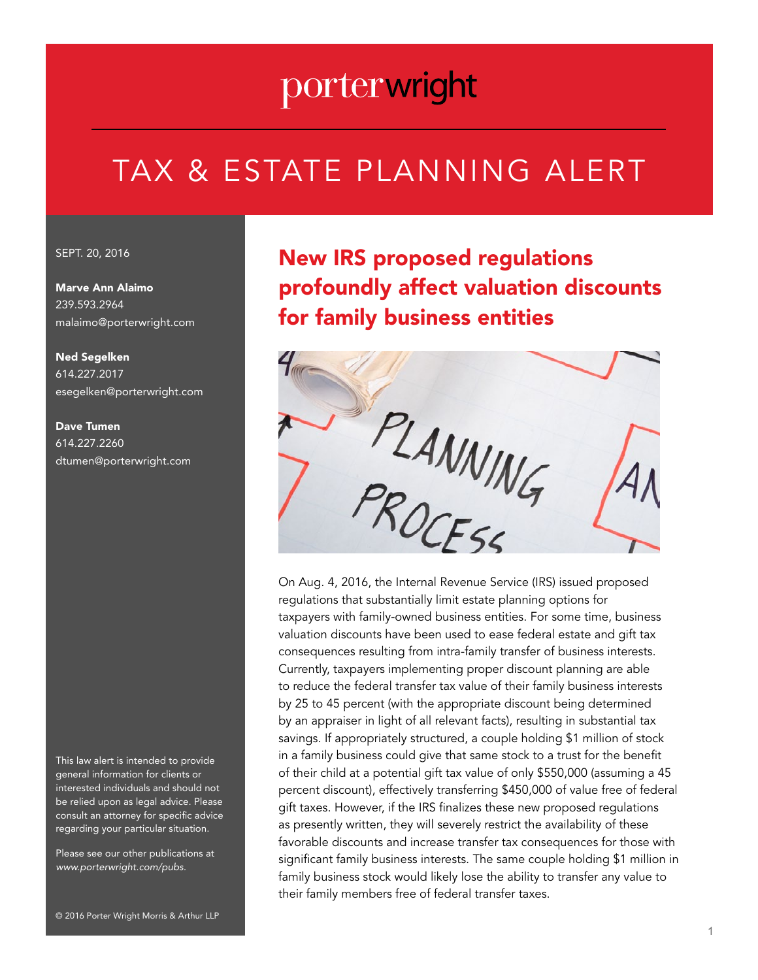# porterwright

# TAX & ESTATE PLANNING ALERT

#### SEPT. 20, 2016

Marve Ann Alaimo 239.593.2964 malaimo@porterwright.com

Ned Segelken 614.227.2017 esegelken@porterwright.com

Dave Tumen 614.227.2260 dtumen@porterwright.com

This law alert is intended to provide general information for clients or interested individuals and should not be relied upon as legal advice. Please consult an attorney for specific advice regarding your particular situation.

Please see our other publications at *www.porterwright.com/pubs.*

### New IRS proposed regulations profoundly affect valuation discounts for family business entities



regulations that substantially limit estate planning options for taxpayers with family-owned business entities. For some time, business valuation discounts have been used to ease federal estate and gift tax consequences resulting from intra-family transfer of business interests. Currently, taxpayers implementing proper discount planning are able to reduce the federal transfer tax value of their family business interests by 25 to 45 percent (with the appropriate discount being determined by an appraiser in light of all relevant facts), resulting in substantial tax savings. If appropriately structured, a couple holding \$1 million of stock in a family business could give that same stock to a trust for the benefit of their child at a potential gift tax value of only \$550,000 (assuming a 45 percent discount), effectively transferring \$450,000 of value free of federal gift taxes. However, if the IRS finalizes these new proposed regulations as presently written, they will severely restrict the availability of these favorable discounts and increase transfer tax consequences for those with significant family business interests. The same couple holding \$1 million in family business stock would likely lose the ability to transfer any value to their family members free of federal transfer taxes.